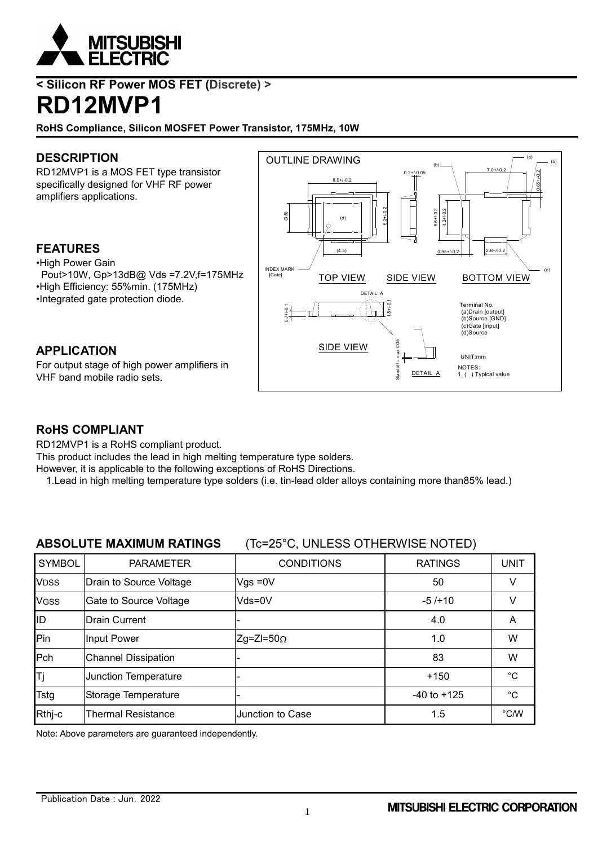

### **< Silicon RF Power MOS FET (Discrete) > RD12MVP1**

**RoHS Compliance, Silicon MOSFET Power Transistor, 175MHz, 10W**

#### **DESCRIPTION**

RD12MVP1 is a MOS FET type transistor specifically designed for VHF RF power amplifiers applications.

#### **FEATURES**

•High Power Gain Pout>10W, Gp>13dB@ Vds =7.2V,f=175MHz •High Efficiency: 55%min. (175MHz) •Integrated gate protection diode.

# **APPLICATION**

For output stage of high power amplifiers in VHF band mobile radio sets.



#### **RoHS COMPLIANT**

RD12MVP1 is a RoHS compliant product.

This product includes the lead in high melting temperature type solders.

However, it is applicable to the following exceptions of RoHS Directions.

1.Lead in high melting temperature type solders (i.e. tin-lead older alloys containing more than85% lead.)

#### **ABSOLUTE MAXIMUM RATINGS** (Tc=25°C, UNLESS OTHERWISE NOTED)

| <b>SYMBOL</b> | <b>PARAMETER</b>           | <b>CONDITIONS</b> | <b>RATINGS</b>  | <b>UNIT</b>   |
|---------------|----------------------------|-------------------|-----------------|---------------|
| <b>VDSS</b>   | Drain to Source Voltage    | $Vgs = 0V$        | 50              |               |
| <b>VGSS</b>   | Gate to Source Voltage     | Vds=0V            | $-5/110$        | v             |
| ID            | <b>Drain Current</b>       |                   | 4.0             | A             |
| Pin           | Input Power                | $Zg=ZI=50\Omega$  | 1.0             | W             |
| Pch           | <b>Channel Dissipation</b> |                   | 83              | W             |
| ΙTj           | Junction Temperature       |                   | $+150$          | °C            |
| <b>Tstg</b>   | Storage Temperature        |                   | $-40$ to $+125$ | $^{\circ}C$   |
| Rthj-c        | <b>Thermal Resistance</b>  | Junction to Case  | 1.5             | $\degree$ C/W |

Note: Above parameters are guaranteed independently.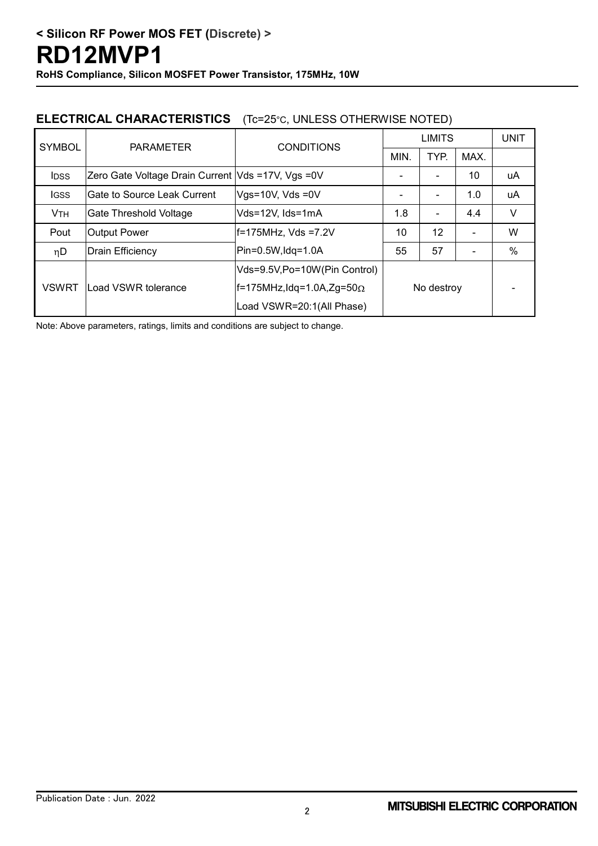#### **ELECTRICAL CHARACTERISTICS** (Tc=25°C, UNLESS OTHERWISE NOTED)

| <b>SYMBOL</b>         | <b>PARAMETER</b>                                  | <b>CONDITIONS</b>                    | <b>LIMITS</b> |                |      | <b>UNIT</b> |
|-----------------------|---------------------------------------------------|--------------------------------------|---------------|----------------|------|-------------|
|                       |                                                   |                                      | MIN.          | TYP.           | MAX. |             |
| <b>IDSS</b>           | Zero Gate Voltage Drain Current Vds =17V, Vgs =0V |                                      |               |                | 10   | uA          |
| lgss                  | Gate to Source Leak Current                       | Vgs=10V, Vds =0V                     |               | $\blacksquare$ | 1.0  | uA          |
| <b>V<sub>TH</sub></b> | Vds=12V, Ids=1mA<br>Gate Threshold Voltage        |                                      | 1.8           | $\blacksquare$ | 4.4  | V           |
| Pout                  | <b>Output Power</b><br>$ f=175$ MHz, Vds =7.2V    |                                      | 10            | 12             |      | W           |
| ηD                    | $ Pin=0.5W, Idq=1.0A$<br>Drain Efficiency         |                                      | 55            | 57             |      | $\%$        |
| <b>VSWRT</b>          | Load VSWR tolerance                               | Vds=9.5V,Po=10W(Pin Control)         | No destroy    |                |      |             |
|                       |                                                   | $ f=175$ MHz,Idq=1.0A,Zg=50 $\Omega$ |               |                |      |             |
|                       |                                                   | Load VSWR=20:1(All Phase)            |               |                |      |             |

Note: Above parameters, ratings, limits and conditions are subject to change.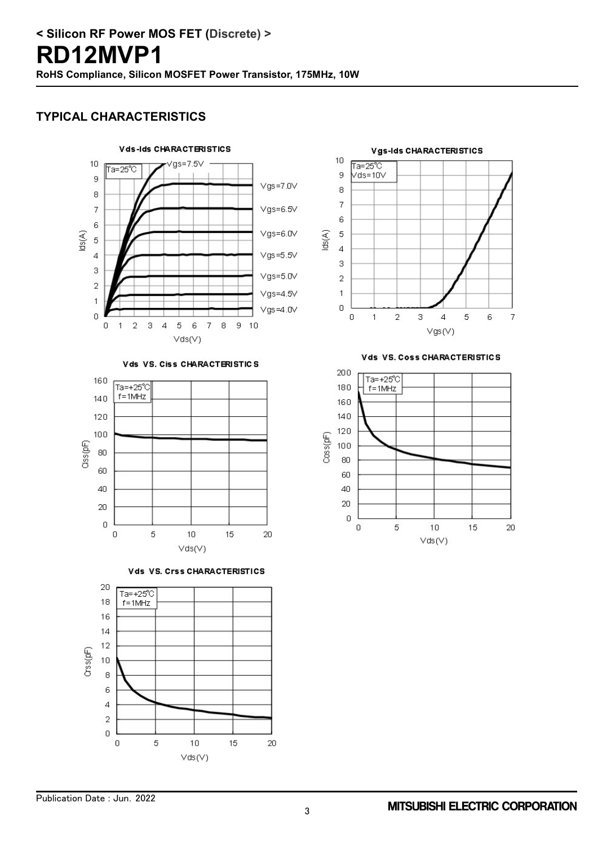#### **TYPICAL CHARACTERISTICS**



Vds VS. Ciss CHARACTERISTICS









Vds VS. Coss CHARACTERISTICS

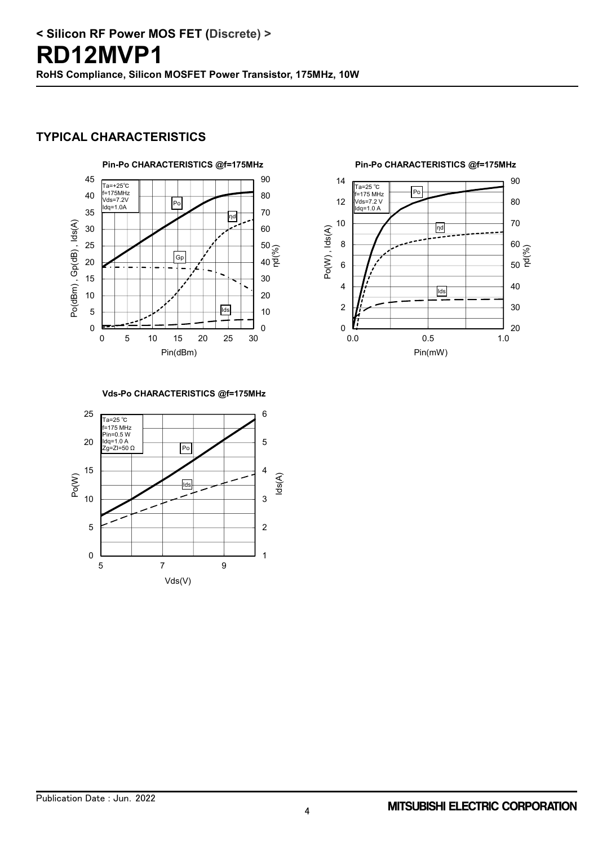#### **TYPICAL CHARACTERISTICS**





**Vds-Po CHARACTERISTICS @f=175MHz**

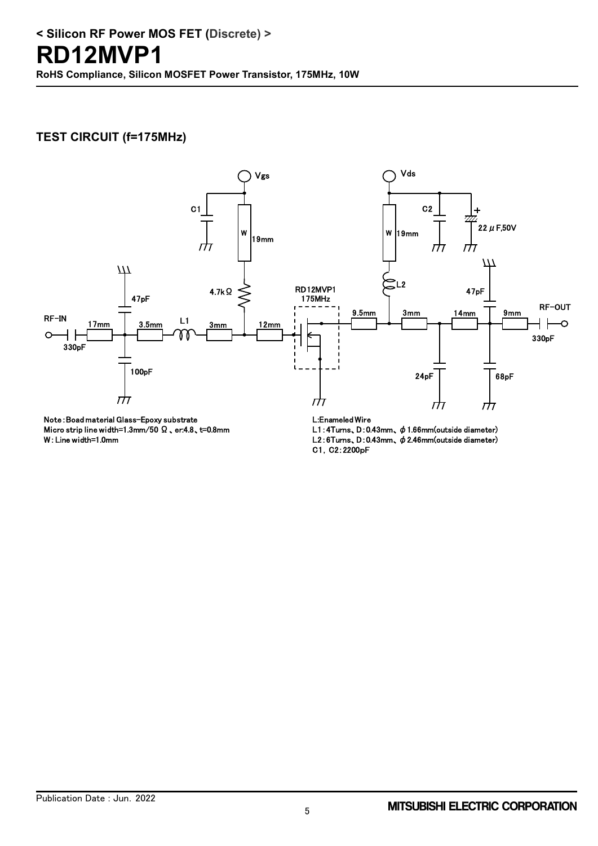#### **TEST CIRCUIT (f=175MHz)**



Note:Boad material Glass-Epoxy substrate Micro strip line width=1.3mm/50 Ω、er:4.8、t=0.8mm W:Line width=1.0mm

L:Enameled Wire

L1:4Turns、D:0.43mm、φ1.66mm(outside diameter) L2:6Turns、D:0.43mm、φ2.46mm(outside diameter) C1,C2:2200pF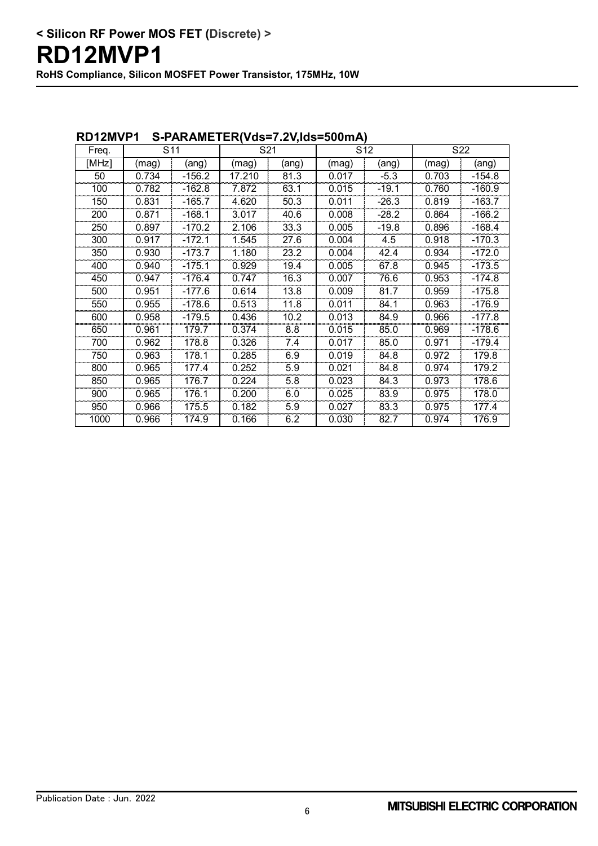| RVIZMVE I<br>$3$ -PANAMLILN(VUS-7.2V,1US-300111A) |                 |          |        |       |                 |         |                 |          |
|---------------------------------------------------|-----------------|----------|--------|-------|-----------------|---------|-----------------|----------|
| Freq.                                             | S <sub>11</sub> |          | S21    |       | S <sub>12</sub> |         | S <sub>22</sub> |          |
| [MHz]                                             | (mag)           | (ang)    | (mag)  | (ang) | (mag)           | (ang)   | (mag)           | (ang)    |
| 50                                                | 0.734           | $-156.2$ | 17.210 | 81.3  | 0.017           | $-5.3$  | 0.703           | $-154.8$ |
| 100                                               | 0.782           | $-162.8$ | 7.872  | 63.1  | 0.015           | $-19.1$ | 0.760           | $-160.9$ |
| 150                                               | 0.831           | $-165.7$ | 4.620  | 50.3  | 0.011           | $-26.3$ | 0.819           | $-163.7$ |
| 200                                               | 0.871           | $-168.1$ | 3.017  | 40.6  | 0.008           | $-28.2$ | 0.864           | $-166.2$ |
| 250                                               | 0.897           | $-170.2$ | 2.106  | 33.3  | 0.005           | $-19.8$ | 0.896           | $-168.4$ |
| 300                                               | 0.917           | $-172.1$ | 1.545  | 27.6  | 0.004           | 4.5     | 0.918           | $-170.3$ |
| 350                                               | 0.930           | $-173.7$ | 1.180  | 23.2  | 0.004           | 42.4    | 0.934           | $-172.0$ |
| 400                                               | 0.940           | $-175.1$ | 0.929  | 19.4  | 0.005           | 67.8    | 0.945           | $-173.5$ |
| 450                                               | 0.947           | $-176.4$ | 0.747  | 16.3  | 0.007           | 76.6    | 0.953           | $-174.8$ |
| 500                                               | 0.951           | $-177.6$ | 0.614  | 13.8  | 0.009           | 81.7    | 0.959           | $-175.8$ |
| 550                                               | 0.955           | $-178.6$ | 0.513  | 11.8  | 0.011           | 84.1    | 0.963           | $-176.9$ |
| 600                                               | 0.958           | $-179.5$ | 0.436  | 10.2  | 0.013           | 84.9    | 0.966           | $-177.8$ |
| 650                                               | 0.961           | 179.7    | 0.374  | 8.8   | 0.015           | 85.0    | 0.969           | $-178.6$ |
| 700                                               | 0.962           | 178.8    | 0.326  | 7.4   | 0.017           | 85.0    | 0.971           | $-179.4$ |
| 750                                               | 0.963           | 178.1    | 0.285  | 6.9   | 0.019           | 84.8    | 0.972           | 179.8    |
| 800                                               | 0.965           | 177.4    | 0.252  | 5.9   | 0.021           | 84.8    | 0.974           | 179.2    |
| 850                                               | 0.965           | 176.7    | 0.224  | 5.8   | 0.023           | 84.3    | 0.973           | 178.6    |
| 900                                               | 0.965           | 176.1    | 0.200  | 6.0   | 0.025           | 83.9    | 0.975           | 178.0    |
| 950                                               | 0.966           | 175.5    | 0.182  | 5.9   | 0.027           | 83.3    | 0.975           | 177.4    |
| 1000                                              | 0.966           | 174.9    | 0.166  | 6.2   | 0.030           | 82.7    | 0.974           | 176.9    |

#### **RD12MVP1 S-PARAMETER(Vds=7.2V,Ids=500mA)**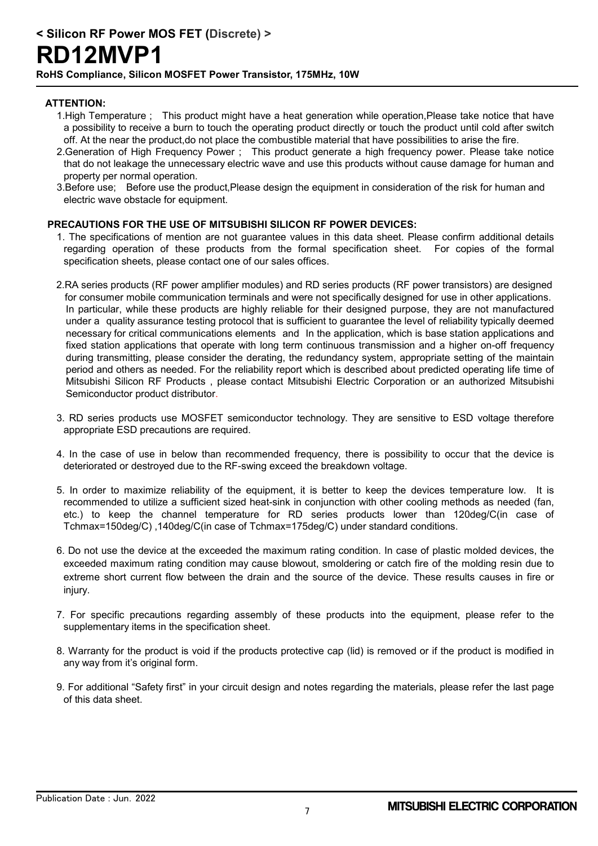## **RD12MVP1**

**RoHS Compliance, Silicon MOSFET Power Transistor, 175MHz, 10W**

#### **ATTENTION:**

- 1.High Temperature ; This product might have a heat generation while operation,Please take notice that have a possibility to receive a burn to touch the operating product directly or touch the product until cold after switch off. At the near the product,do not place the combustible material that have possibilities to arise the fire.
- 2.Generation of High Frequency Power : This product generate a high frequency power. Please take notice that do not leakage the unnecessary electric wave and use this products without cause damage for human and property per normal operation.
- 3.Before use; Before use the product,Please design the equipment in consideration of the risk for human and electric wave obstacle for equipment.

#### **PRECAUTIONS FOR THE USE OF MITSUBISHI SILICON RF POWER DEVICES:**

- 1. The specifications of mention are not guarantee values in this data sheet. Please confirm additional details regarding operation of these products from the formal specification sheet. For copies of the formal specification sheets, please contact one of our sales offices.
- 2.RA series products (RF power amplifier modules) and RD series products (RF power transistors) are designed for consumer mobile communication terminals and were not specifically designed for use in other applications. In particular, while these products are highly reliable for their designed purpose, they are not manufactured under a quality assurance testing protocol that is sufficient to guarantee the level of reliability typically deemed necessary for critical communications elements and In the application, which is base station applications and fixed station applications that operate with long term continuous transmission and a higher on-off frequency during transmitting, please consider the derating, the redundancy system, appropriate setting of the maintain period and others as needed. For the reliability report which is described about predicted operating life time of Mitsubishi Silicon RF Products , please contact Mitsubishi Electric Corporation or an authorized Mitsubishi Semiconductor product distributor.
- 3. RD series products use MOSFET semiconductor technology. They are sensitive to ESD voltage therefore appropriate ESD precautions are required.
- 4. In the case of use in below than recommended frequency, there is possibility to occur that the device is deteriorated or destroyed due to the RF-swing exceed the breakdown voltage.
- 5. In order to maximize reliability of the equipment, it is better to keep the devices temperature low. It is recommended to utilize a sufficient sized heat-sink in conjunction with other cooling methods as needed (fan, etc.) to keep the channel temperature for RD series products lower than 120deg/C(in case of Tchmax=150deg/C) ,140deg/C(in case of Tchmax=175deg/C) under standard conditions.
- 6. Do not use the device at the exceeded the maximum rating condition. In case of plastic molded devices, the exceeded maximum rating condition may cause blowout, smoldering or catch fire of the molding resin due to extreme short current flow between the drain and the source of the device. These results causes in fire or injury.
- 7. For specific precautions regarding assembly of these products into the equipment, please refer to the supplementary items in the specification sheet.
- 8. Warranty for the product is void if the products protective cap (lid) is removed or if the product is modified in any way from it's original form.
- 9. For additional "Safety first" in your circuit design and notes regarding the materials, please refer the last page of this data sheet.